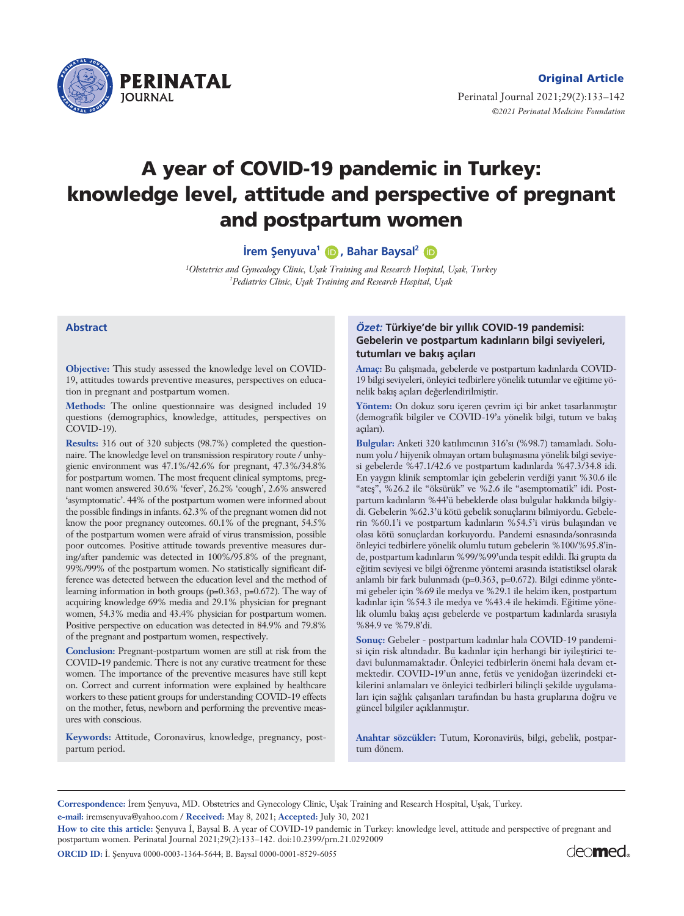

Perinatal Journal 2021;29(2):133–142 *©2021 Perinatal Medicine Foundation*

# **A year of COVID-19 pandemic in Turkey: knowledge level, attitude and perspective of pregnant and postpartum women**

**irem Şenyuva<sup>1</sup> (D</mark>, Bahar Baysal<sup>2</sup> (D** 

*1Obstetrics and Gynecology Clinic, Uflak Training and Research Hospital, Uflak, Turkey 2 Pediatrics Clinic, Uflak Training and Research Hospital, Uflak*

#### **Abstract**

**Objective:** This study assessed the knowledge level on COVID-19, attitudes towards preventive measures, perspectives on education in pregnant and postpartum women.

**Methods:** The online questionnaire was designed included 19 questions (demographics, knowledge, attitudes, perspectives on  $\text{COVID-19}$ ).

**Results:** 316 out of 320 subjects (98.7%) completed the questionnaire. The knowledge level on transmission respiratory route / unhygienic environment was 47.1%/42.6% for pregnant, 47.3%/34.8% for postpartum women. The most frequent clinical symptoms, pregnant women answered 30.6% 'fever', 26.2% 'cough', 2.6% answered 'asymptomatic'. 44% of the postpartum women were informed about the possible findings in infants. 62.3% of the pregnant women did not know the poor pregnancy outcomes. 60.1% of the pregnant, 54.5% of the postpartum women were afraid of virus transmission, possible poor outcomes. Positive attitude towards preventive measures during/after pandemic was detected in 100%/95.8% of the pregnant, 99%/99% of the postpartum women. No statistically significant difference was detected between the education level and the method of learning information in both groups (p=0.363, p=0.672). The way of acquiring knowledge 69% media and 29.1% physician for pregnant women, 54.3% media and 43.4% physician for postpartum women. Positive perspective on education was detected in 84.9% and 79.8% of the pregnant and postpartum women, respectively.

**Conclusion:** Pregnant-postpartum women are still at risk from the COVID-19 pandemic. There is not any curative treatment for these women. The importance of the preventive measures have still kept on. Correct and current information were explained by healthcare workers to these patient groups for understanding COVID-19 effects on the mother, fetus, newborn and performing the preventive measures with conscious.

**Keywords:** Attitude, Coronavirus, knowledge, pregnancy, postpartum period.

## $\ddot{\text{O}}$ zet: Türkiye'de bir yıllık COVID-19 pandemisi: Gebelerin ve postpartum kadınların bilgi seviyeleri, tutumları ve bakış açıları

Amaç: Bu çalışmada, gebelerde ve postpartum kadınlarda COVID-19 bilgi seviyeleri, önleyici tedbirlere yönelik tutumlar ve eğitime yönelik bakış açıları değerlendirilmiştir.

Yöntem: On dokuz soru içeren çevrim içi bir anket tasarlanmıştır (demografik bilgiler ve COVID-19'a yönelik bilgi, tutum ve bakış açıları).

Bulgular: Anketi 320 katılımcının 316'sı (%98.7) tamamladı. Solunum yolu / hijyenik olmayan ortam bulaşmasına yönelik bilgi seviyesi gebelerde %47.1/42.6 ve postpartum kadınlarda %47.3/34.8 idi. En yaygın klinik semptomlar için gebelerin verdiği yanıt %30.6 ile "ateş", %26.2 ile "öksürük" ve %2.6 ile "asemptomatik" idi. Postpartum kadınların %44'ü bebeklerde olası bulgular hakkında bilgiydi. Gebelerin %62.3'ü kötü gebelik sonuçlarını bilmiyordu. Gebelerin %60.1'i ve postpartum kadınların %54.5'i virüs bulaşından ve olası kötü sonuçlardan korkuyordu. Pandemi esnasında/sonrasında önleyici tedbirlere yönelik olumlu tutum gebelerin %100/%95.8'inde, postpartum kadınların %99/%99'unda tespit edildi. İki grupta da eğitim seviyesi ve bilgi öğrenme yöntemi arasında istatistiksel olarak anlamlı bir fark bulunmadı (p=0.363, p=0.672). Bilgi edinme yöntemi gebeler için %69 ile medya ve %29.1 ile hekim iken, postpartum kadınlar için %54.3 ile medya ve %43.4 ile hekimdi. Eğitime yönelik olumlu bakış açısı gebelerde ve postpartum kadınlarda sırasıyla %84.9 ve %79.8'di.

Sonuç: Gebeler - postpartum kadınlar hala COVID-19 pandemisi için risk altındadır. Bu kadınlar için herhangi bir iyileştirici tedavi bulunmamaktadır. Önleyici tedbirlerin önemi hala devam etmektedir. COVID-19'un anne, fetüs ve yenidoğan üzerindeki etkilerini anlamaları ve önleyici tedbirleri bilinçli şekilde uygulamaları için sağlık çalışanları tarafından bu hasta gruplarına doğru ve güncel bilgiler açıklanmıştır.

**Anahtar sözcükler:** Tutum, Koronavirüs, bilgi, gebelik, postpartum dönem.

**Correspondence:** İrem Şenyuva, MD. Obstetrics and Gynecology Clinic, Uşak Training and Research Hospital, Uşak, Turkey. **e-mail:** iremsenyuva@yahoo.com / **Received:** May 8, 2021; **Accepted:** July 30, 2021

How to cite this article: Şenyuva İ, Baysal B. A year of COVID-19 pandemic in Turkey: knowledge level, attitude and perspective of pregnant and postpartum women. Perinatal Journal 2021;29(2):133–142. doi:10.2399/prn.21.0292009

**ORCID ID:** İ. Senyuva 0000-0003-1364-5644; B. Baysal 0000-0001-8529-6055

deo**med**.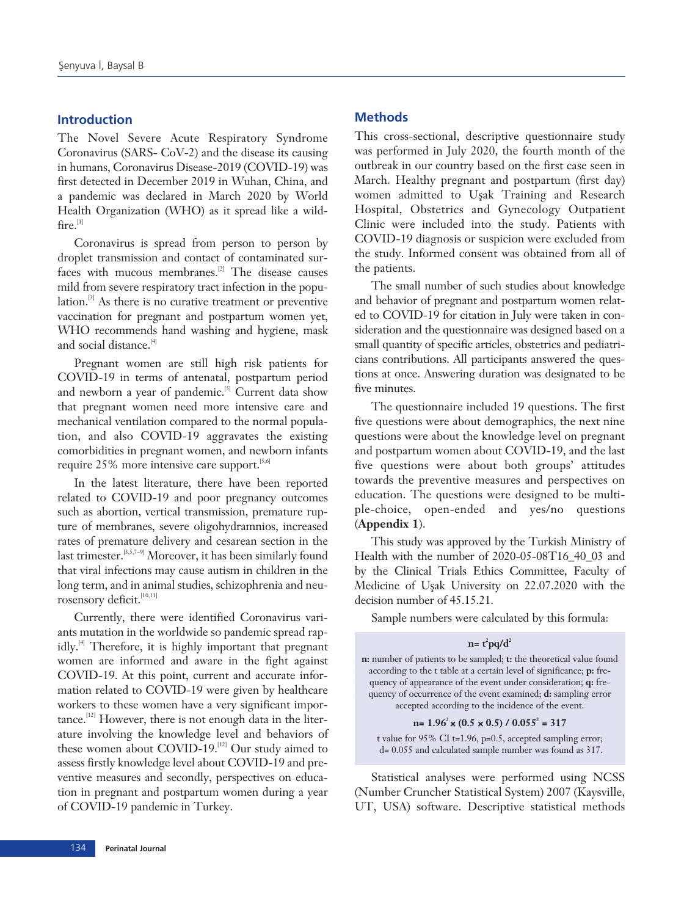# **Introduction**

The Novel Severe Acute Respiratory Syndrome Coronavirus (SARS- CoV-2) and the disease its causing in humans, Coronavirus Disease-2019 (COVID-19) was first detected in December 2019 in Wuhan, China, and a pandemic was declared in March 2020 by World Health Organization (WHO) as it spread like a wild $fire.$ <sup>[1]</sup>

Coronavirus is spread from person to person by droplet transmission and contact of contaminated surfaces with mucous membranes.<sup>[2]</sup> The disease causes mild from severe respiratory tract infection in the population.[3] As there is no curative treatment or preventive vaccination for pregnant and postpartum women yet, WHO recommends hand washing and hygiene, mask and social distance.<sup>[4]</sup>

Pregnant women are still high risk patients for COVID-19 in terms of antenatal, postpartum period and newborn a year of pandemic.<sup>[5]</sup> Current data show that pregnant women need more intensive care and mechanical ventilation compared to the normal population, and also COVID-19 aggravates the existing comorbidities in pregnant women, and newborn infants require  $25\%$  more intensive care support.<sup>[5,6]</sup>

In the latest literature, there have been reported related to COVID-19 and poor pregnancy outcomes such as abortion, vertical transmission, premature rupture of membranes, severe oligohydramnios, increased rates of premature delivery and cesarean section in the last trimester.<sup>[3,5,7-9]</sup> Moreover, it has been similarly found that viral infections may cause autism in children in the long term, and in animal studies, schizophrenia and neurosensory deficit.<sup>[10,11]</sup>

Currently, there were identified Coronavirus variants mutation in the worldwide so pandemic spread rapidly.<sup>[4]</sup> Therefore, it is highly important that pregnant women are informed and aware in the fight against COVID-19. At this point, current and accurate information related to COVID-19 were given by healthcare workers to these women have a very significant importance.<sup>[12]</sup> However, there is not enough data in the literature involving the knowledge level and behaviors of these women about COVID-19.<sup>[12]</sup> Our study aimed to assess firstly knowledge level about COVID-19 and preventive measures and secondly, perspectives on education in pregnant and postpartum women during a year of COVID-19 pandemic in Turkey.

# **Methods**

This cross-sectional, descriptive questionnaire study was performed in July 2020, the fourth month of the outbreak in our country based on the first case seen in March. Healthy pregnant and postpartum (first day) women admitted to Uşak Training and Research Hospital, Obstetrics and Gynecology Outpatient Clinic were included into the study. Patients with COVID-19 diagnosis or suspicion were excluded from the study. Informed consent was obtained from all of the patients.

The small number of such studies about knowledge and behavior of pregnant and postpartum women related to COVID-19 for citation in July were taken in consideration and the questionnaire was designed based on a small quantity of specific articles, obstetrics and pediatricians contributions. All participants answered the questions at once. Answering duration was designated to be five minutes.

The questionnaire included 19 questions. The first five questions were about demographics, the next nine questions were about the knowledge level on pregnant and postpartum women about COVID-19, and the last five questions were about both groups' attitudes towards the preventive measures and perspectives on education. The questions were designed to be multiple-choice, open-ended and yes/no questions (**Appendix 1**).

This study was approved by the Turkish Ministry of Health with the number of 2020-05-08T16\_40\_03 and by the Clinical Trials Ethics Committee, Faculty of Medicine of Uşak University on 22.07.2020 with the decision number of 45.15.21.

Sample numbers were calculated by this formula:

#### $n = t^2 pq/d^2$

**n:** number of patients to be sampled; **t:** the theoretical value found according to the t table at a certain level of significance; **p:** frequency of appearance of the event under consideration; **q:** frequency of occurrence of the event examined; **d:** sampling error accepted according to the incidence of the event.

#### **n= 1.962** × **(0.5** × **0.5) / 0.0552 = 317**

t value for 95% CI t=1.96, p=0.5, accepted sampling error; d= 0.055 and calculated sample number was found as 317.

Statistical analyses were performed using NCSS (Number Cruncher Statistical System) 2007 (Kaysville, UT, USA) software. Descriptive statistical methods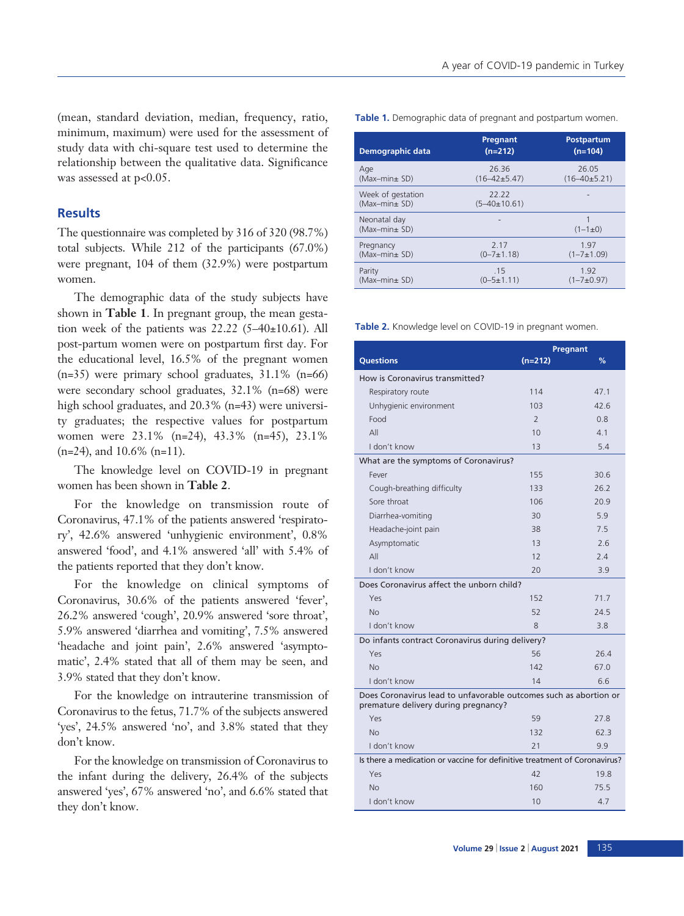(mean, standard deviation, median, frequency, ratio, minimum, maximum) were used for the assessment of study data with chi-square test used to determine the relationship between the qualitative data. Significance was assessed at p<0.05.

## **Results**

The questionnaire was completed by 316 of 320 (98.7%) total subjects. While 212 of the participants (67.0%) were pregnant, 104 of them (32.9%) were postpartum women.

The demographic data of the study subjects have shown in **Table 1**. In pregnant group, the mean gestation week of the patients was  $22.22$  (5-40 $\pm$ 10.61). All post-partum women were on postpartum first day. For the educational level, 16.5% of the pregnant women  $(n=35)$  were primary school graduates,  $31.1\%$  (n=66) were secondary school graduates, 32.1% (n=68) were high school graduates, and 20.3% (n=43) were university graduates; the respective values for postpartum women were 23.1% (n=24), 43.3% (n=45), 23.1% (n=24), and 10.6% (n=11).

The knowledge level on COVID-19 in pregnant women has been shown in **Table 2**.

For the knowledge on transmission route of Coronavirus, 47.1% of the patients answered 'respiratory', 42.6% answered 'unhygienic environment', 0.8% answered 'food', and 4.1% answered 'all' with 5.4% of the patients reported that they don't know.

For the knowledge on clinical symptoms of Coronavirus, 30.6% of the patients answered 'fever', 26.2% answered 'cough', 20.9% answered 'sore throat', 5.9% answered 'diarrhea and vomiting', 7.5% answered 'headache and joint pain', 2.6% answered 'asymptomatic', 2.4% stated that all of them may be seen, and 3.9% stated that they don't know.

For the knowledge on intrauterine transmission of Coronavirus to the fetus, 71.7% of the subjects answered 'yes', 24.5% answered 'no', and 3.8% stated that they don't know.

For the knowledge on transmission of Coronavirus to the infant during the delivery, 26.4% of the subjects answered 'yes', 67% answered 'no', and 6.6% stated that they don't know.

**Table 1.** Demographic data of pregnant and postpartum women.

| Demographic data                   | Pregnant<br>$(n=212)$         | <b>Postpartum</b><br>$(n=104)$ |
|------------------------------------|-------------------------------|--------------------------------|
| Age                                | 26.36                         | 26.05                          |
| (Max-min+ SD)                      | $(16 - 42 \pm 5.47)$          | $(16 - 40 \pm 5.21)$           |
| Week of gestation<br>(Max-min+ SD) | 22.22<br>$(5 - 40 \pm 10.61)$ |                                |
| Neonatal day<br>(Max-min+ SD)      |                               | $(1 - 1 \pm 0)$                |
| Pregnancy                          | 2.17                          | 1.97                           |
| (Max-min+ SD)                      | $(0 - 7 \pm 1.18)$            | $(1 - 7 \pm 1.09)$             |
| Parity                             | .15                           | 1.92                           |
| (Max-min+ SD)                      | $(0 - 5 \pm 1.11)$            | $(1 - 7 + 0.97)$               |

**Table 2.** Knowledge level on COVID-19 in pregnant women.

|                                                                                                           | Pregnant      |      |  |  |
|-----------------------------------------------------------------------------------------------------------|---------------|------|--|--|
| <b>Questions</b>                                                                                          | $(n=212)$     | %    |  |  |
| How is Coronavirus transmitted?                                                                           |               |      |  |  |
| Respiratory route                                                                                         | 114           | 47.1 |  |  |
| Unhygienic environment                                                                                    | 103           | 42.6 |  |  |
| Food                                                                                                      | $\mathcal{P}$ | 0.8  |  |  |
| All                                                                                                       | 10            | 4.1  |  |  |
| I don't know                                                                                              | 13            | 5.4  |  |  |
| What are the symptoms of Coronavirus?                                                                     |               |      |  |  |
| Fever                                                                                                     | 155           | 30.6 |  |  |
| Cough-breathing difficulty                                                                                | 133           | 26.2 |  |  |
| Sore throat                                                                                               | 106           | 20.9 |  |  |
| Diarrhea-vomiting                                                                                         | 30            | 59   |  |  |
| Headache-joint pain                                                                                       | 38            | 7.5  |  |  |
| Asymptomatic                                                                                              | 13            | 2.6  |  |  |
| All                                                                                                       | 12            | 2.4  |  |  |
| I don't know                                                                                              | 20            | 3.9  |  |  |
| Does Coronavirus affect the unborn child?                                                                 |               |      |  |  |
| Yes                                                                                                       | 152           | 71.7 |  |  |
| No                                                                                                        | 52            | 24.5 |  |  |
| I don't know                                                                                              | 8             | 3.8  |  |  |
| Do infants contract Coronavirus during delivery?                                                          |               |      |  |  |
| Yes                                                                                                       | 56            | 26.4 |  |  |
| No                                                                                                        | 142           | 67.0 |  |  |
| I don't know                                                                                              | 14            | 6.6  |  |  |
| Does Coronavirus lead to unfavorable outcomes such as abortion or<br>premature delivery during pregnancy? |               |      |  |  |
| Yes                                                                                                       | 59            | 27.8 |  |  |
| No                                                                                                        | 132           | 62.3 |  |  |
| I don't know                                                                                              | 21            | 9.9  |  |  |
| Is there a medication or vaccine for definitive treatment of Coronavirus?                                 |               |      |  |  |
| Yes                                                                                                       | 42            | 19.8 |  |  |
| N <sub>0</sub>                                                                                            | 160           | 75.5 |  |  |
| I don't know                                                                                              | 10            | 4.7  |  |  |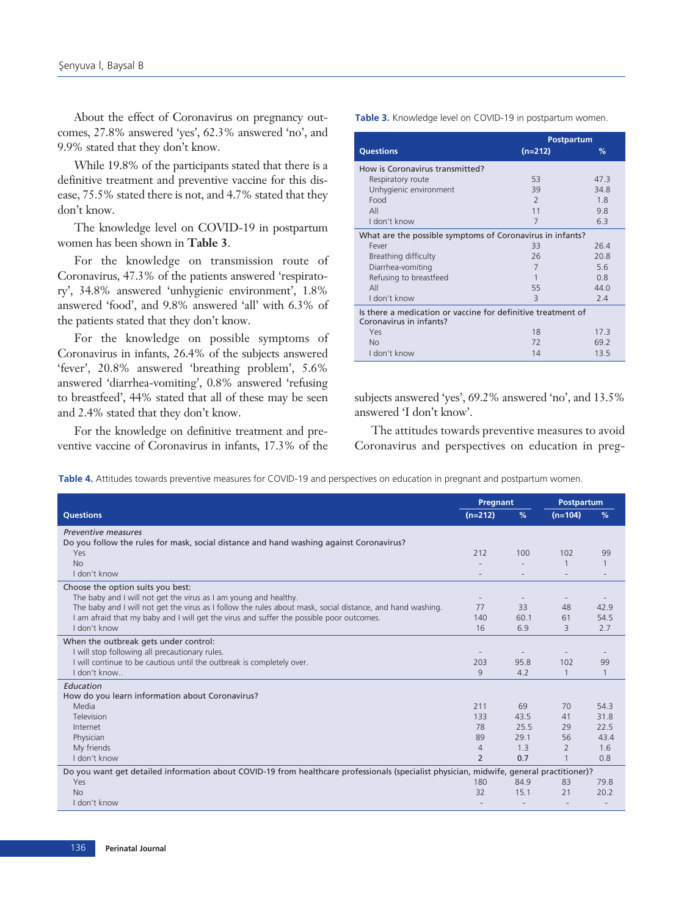About the effect of Coronavirus on pregnancy outcomes, 27.8% answered 'yes', 62.3% answered 'no', and 9.9% stated that they don't know.

While 19.8% of the participants stated that there is a definitive treatment and preventive vaccine for this disease, 75.5% stated there is not, and 4.7% stated that they don't know.

The knowledge level on COVID-19 in postpartum women has been shown in **Table 3**.

For the knowledge on transmission route of Coronavirus, 47.3% of the patients answered 'respiratory', 34.8% answered 'unhygienic environment', 1.8% answered 'food', and 9.8% answered 'all' with 6.3% of the patients stated that they don't know.

For the knowledge on possible symptoms of Coronavirus in infants, 26.4% of the subjects answered 'fever', 20.8% answered 'breathing problem', 5.6% answered 'diarrhea-vomiting', 0.8% answered 'refusing to breastfeed', 44% stated that all of these may be seen and 2.4% stated that they don't know.

For the knowledge on definitive treatment and preventive vaccine of Coronavirus in infants, 17.3% of the **Table 3.** Knowledge level on COVID-19 in postpartum women.

|                                                                                         | Postpartum               |      |  |
|-----------------------------------------------------------------------------------------|--------------------------|------|--|
| <b>Questions</b>                                                                        | $(n=212)$                | %    |  |
| How is Coronavirus transmitted?                                                         |                          |      |  |
| Respiratory route                                                                       | 53                       | 47.3 |  |
| Unhygienic environment                                                                  | 39                       | 34.8 |  |
| Food                                                                                    | $\overline{\phantom{0}}$ | 18   |  |
| All                                                                                     | 11                       | 9.8  |  |
| I don't know                                                                            | 7                        | 6.3  |  |
| What are the possible symptoms of Coronavirus in infants?                               |                          |      |  |
| Fever                                                                                   | 33                       | 26.4 |  |
| Breathing difficulty                                                                    | 26                       | 20.8 |  |
| Diarrhea-vomiting                                                                       | 7                        | 5.6  |  |
| Refusing to breastfeed                                                                  | 1                        | 0.8  |  |
| All                                                                                     | 55                       | 44.0 |  |
| I don't know                                                                            | $\overline{3}$           | 2.4  |  |
| Is there a medication or vaccine for definitive treatment of<br>Coronavirus in infants? |                          |      |  |
| Yes                                                                                     | 18                       | 17.3 |  |
| <b>No</b>                                                                               | 72                       | 69.2 |  |
| I don't know                                                                            | 14                       | 13.5 |  |

subjects answered 'yes', 69.2% answered 'no', and 13.5% answered 'I don't know'.

The attitudes towards preventive measures to avoid Coronavirus and perspectives on education in preg-

**Table 4.** Attitudes towards preventive measures for COVID-19 and perspectives on education in pregnant and postpartum women.

|                                                                                                                                          | Pregnant<br>Postpartum |                          |                |              |
|------------------------------------------------------------------------------------------------------------------------------------------|------------------------|--------------------------|----------------|--------------|
| <b>Questions</b>                                                                                                                         | $(n=212)$              | %                        | $(n=104)$      | %            |
| Preventive measures                                                                                                                      |                        |                          |                |              |
| Do you follow the rules for mask, social distance and hand washing against Coronavirus?                                                  |                        |                          |                |              |
| Yes                                                                                                                                      | 212                    | 100                      | 102            | 99           |
| <b>No</b>                                                                                                                                |                        |                          |                |              |
| I don't know                                                                                                                             |                        |                          |                |              |
| Choose the option suits you best:                                                                                                        |                        |                          |                |              |
| The baby and I will not get the virus as I am young and healthy.                                                                         |                        | $\overline{\phantom{a}}$ |                |              |
| The baby and I will not get the virus as I follow the rules about mask, social distance, and hand washing.                               | 77                     | 33                       | 48             | 42.9         |
| I am afraid that my baby and I will get the virus and suffer the possible poor outcomes.                                                 | 140                    | 60.1                     | 61             | 54.5         |
| I don't know                                                                                                                             | 16                     | 6.9                      | 3              | 2.7          |
| When the outbreak gets under control:                                                                                                    |                        |                          |                |              |
| I will stop following all precautionary rules.                                                                                           |                        |                          |                |              |
| I will continue to be cautious until the outbreak is completely over.                                                                    | 203                    | 95.8                     | 102            | 99           |
| I don't know                                                                                                                             | 9                      | 4.2                      | $\mathbf{1}$   | $\mathbf{1}$ |
| Education                                                                                                                                |                        |                          |                |              |
| How do you learn information about Coronavirus?                                                                                          |                        |                          |                |              |
| Media                                                                                                                                    | 211                    | 69                       | 70             | 54.3         |
| Television                                                                                                                               | 133                    | 43.5                     | 41             | 31.8         |
| Internet                                                                                                                                 | 78<br>89               | 25.5<br>29.1             | 29<br>56       | 22.5         |
| Physician<br>My friends                                                                                                                  |                        | 1.3                      | $\overline{2}$ | 43.4<br>1.6  |
| I don't know                                                                                                                             | $\overline{4}$<br>2    | 0.7                      | $\mathbf{1}$   | 0.8          |
|                                                                                                                                          |                        |                          |                |              |
| Do you want get detailed information about COVID-19 from healthcare professionals (specialist physician, midwife, general practitioner)? |                        |                          |                |              |
| Yes                                                                                                                                      | 180                    | 84.9                     | 83             | 79.8         |
| No                                                                                                                                       | 32                     | 15.1                     | 21             | 20.2         |
| I don't know                                                                                                                             |                        |                          |                |              |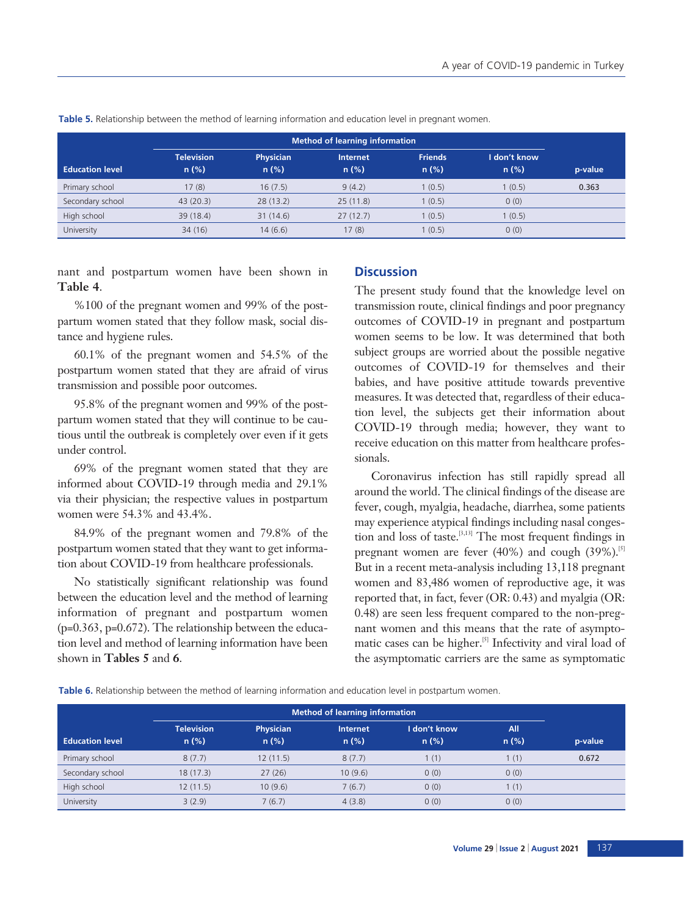|                        | <b>Method of learning information</b> |                          |                         |                           |                      |         |
|------------------------|---------------------------------------|--------------------------|-------------------------|---------------------------|----------------------|---------|
| <b>Education level</b> | <b>Television</b><br>$n$ (%)          | <b>Physician</b><br>n(%) | <b>Internet</b><br>n(%) | <b>Friends</b><br>$n$ (%) | I don't know<br>n(%) | p-value |
| Primary school         | 17(8)                                 | 16(7.5)                  | 9(4.2)                  | 1(0.5)                    | 1(0.5)               | 0.363   |
| Secondary school       | 43(20.3)                              | 28(13.2)                 | 25(11.8)                | 1(0.5)                    | 0(0)                 |         |
| High school            | 39 (18.4)                             | 31(14.6)                 | 27(12.7)                | 1(0.5)                    | 1(0.5)               |         |
| University             | 34(16)                                | 14(6.6)                  | 17(8)                   | 1(0.5)                    | 0(0)                 |         |

**Table 5.** Relationship between the method of learning information and education level in pregnant women.

nant and postpartum women have been shown in **Table 4**.

%100 of the pregnant women and 99% of the postpartum women stated that they follow mask, social distance and hygiene rules.

60.1% of the pregnant women and 54.5% of the postpartum women stated that they are afraid of virus transmission and possible poor outcomes.

95.8% of the pregnant women and 99% of the postpartum women stated that they will continue to be cautious until the outbreak is completely over even if it gets under control.

69% of the pregnant women stated that they are informed about COVID-19 through media and 29.1% via their physician; the respective values in postpartum women were 54.3% and 43.4%.

84.9% of the pregnant women and 79.8% of the postpartum women stated that they want to get information about COVID-19 from healthcare professionals.

No statistically significant relationship was found between the education level and the method of learning information of pregnant and postpartum women (p=0.363, p=0.672). The relationship between the education level and method of learning information have been shown in **Tables 5** and **6**.

## **Discussion**

The present study found that the knowledge level on transmission route, clinical findings and poor pregnancy outcomes of COVID-19 in pregnant and postpartum women seems to be low. It was determined that both subject groups are worried about the possible negative outcomes of COVID-19 for themselves and their babies, and have positive attitude towards preventive measures. It was detected that, regardless of their education level, the subjects get their information about COVID-19 through media; however, they want to receive education on this matter from healthcare professionals.

Coronavirus infection has still rapidly spread all around the world. The clinical findings of the disease are fever, cough, myalgia, headache, diarrhea, some patients may experience atypical findings including nasal congestion and loss of taste.<sup>[3,13]</sup> The most frequent findings in pregnant women are fever  $(40\%)$  and cough  $(39\%)$ .<sup>[5]</sup> But in a recent meta-analysis including 13,118 pregnant women and 83,486 women of reproductive age, it was reported that, in fact, fever (OR: 0.43) and myalgia (OR: 0.48) are seen less frequent compared to the non-pregnant women and this means that the rate of asymptomatic cases can be higher.<sup>[5]</sup> Infectivity and viral load of the asymptomatic carriers are the same as symptomatic

**Table 6.** Relationship between the method of learning information and education level in postpartum women.

|                        | <b>Method of learning information</b> |                             |                         |                         |                |         |
|------------------------|---------------------------------------|-----------------------------|-------------------------|-------------------------|----------------|---------|
| <b>Education level</b> | <b>Television</b><br>$n$ (%)          | <b>Physician</b><br>$n$ (%) | <b>Internet</b><br>n(%) | I don't know<br>$n$ (%) | All<br>$n$ (%) | p-value |
| Primary school         | 8(7.7)                                | 12(11.5)                    | 8(7.7)                  | 1(1)                    | (1)            | 0.672   |
| Secondary school       | 18(17.3)                              | 27(26)                      | 10(9.6)                 | 0(0)                    | 0(0)           |         |
| High school            | 12(11.5)                              | 10(9.6)                     | 7(6.7)                  | 0(0)                    | 1(1)           |         |
| University             | 3(2.9)                                | 7(6.7)                      | 4(3.8)                  | 0(0)                    | 0(0)           |         |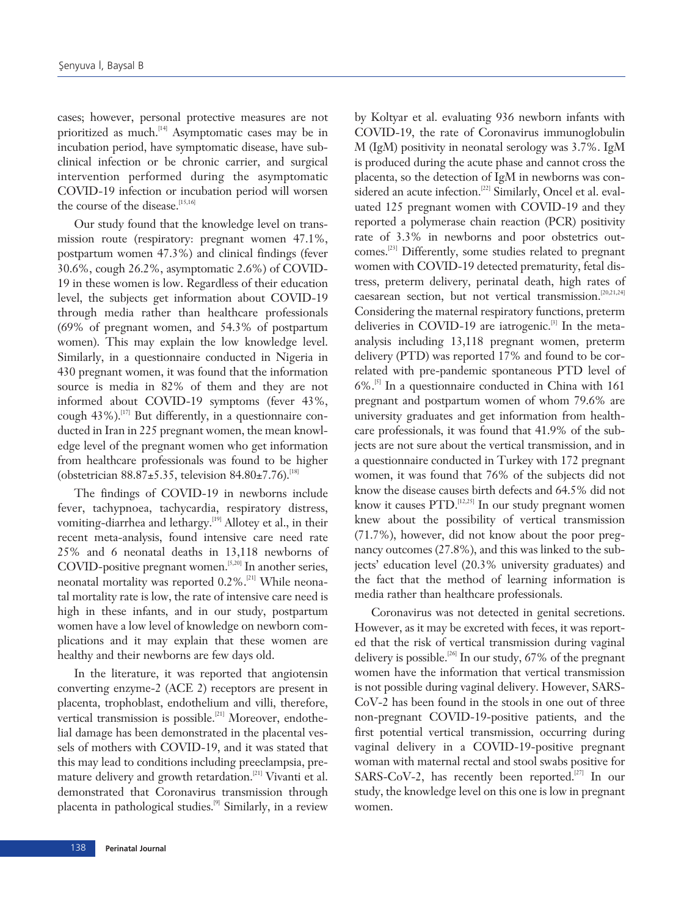cases; however, personal protective measures are not prioritized as much.<sup>[14]</sup> Asymptomatic cases may be in incubation period, have symptomatic disease, have subclinical infection or be chronic carrier, and surgical intervention performed during the asymptomatic COVID-19 infection or incubation period will worsen the course of the disease.<sup>[15,16]</sup>

Our study found that the knowledge level on transmission route (respiratory: pregnant women 47.1%, postpartum women 47.3%) and clinical findings (fever 30.6%, cough 26.2%, asymptomatic 2.6%) of COVID-19 in these women is low. Regardless of their education level, the subjects get information about COVID-19 through media rather than healthcare professionals (69% of pregnant women, and 54.3% of postpartum women). This may explain the low knowledge level. Similarly, in a questionnaire conducted in Nigeria in 430 pregnant women, it was found that the information source is media in 82% of them and they are not informed about COVID-19 symptoms (fever 43%, cough  $43\%$ ).<sup>[17]</sup> But differently, in a questionnaire conducted in Iran in 225 pregnant women, the mean knowledge level of the pregnant women who get information from healthcare professionals was found to be higher (obstetrician  $88.87 \pm 5.35$ , television  $84.80 \pm 7.76$ ).<sup>[18]</sup>

The findings of COVID-19 in newborns include fever, tachypnoea, tachycardia, respiratory distress, vomiting-diarrhea and lethargy.<sup>[19]</sup> Allotey et al., in their recent meta-analysis, found intensive care need rate 25% and 6 neonatal deaths in 13,118 newborns of COVID-positive pregnant women.<sup>[5,20]</sup> In another series, neonatal mortality was reported 0.2%.[21] While neonatal mortality rate is low, the rate of intensive care need is high in these infants, and in our study, postpartum women have a low level of knowledge on newborn complications and it may explain that these women are healthy and their newborns are few days old.

In the literature, it was reported that angiotensin converting enzyme-2 (ACE 2) receptors are present in placenta, trophoblast, endothelium and villi, therefore, vertical transmission is possible.<sup>[21]</sup> Moreover, endothelial damage has been demonstrated in the placental vessels of mothers with COVID-19, and it was stated that this may lead to conditions including preeclampsia, premature delivery and growth retardation.<sup>[21]</sup> Vivanti et al. demonstrated that Coronavirus transmission through placenta in pathological studies.<sup>[9]</sup> Similarly, in a review

by Koltyar et al. evaluating 936 newborn infants with COVID-19, the rate of Coronavirus immunoglobulin M (IgM) positivity in neonatal serology was 3.7%. IgM is produced during the acute phase and cannot cross the placenta, so the detection of IgM in newborns was considered an acute infection.<sup>[22]</sup> Similarly, Oncel et al. evaluated 125 pregnant women with COVID-19 and they reported a polymerase chain reaction (PCR) positivity rate of 3.3% in newborns and poor obstetrics outcomes.[23] Differently, some studies related to pregnant women with COVID-19 detected prematurity, fetal distress, preterm delivery, perinatal death, high rates of caesarean section, but not vertical transmission.<sup>[20,21,24]</sup> Considering the maternal respiratory functions, preterm deliveries in COVID-19 are iatrogenic. $[3]$  In the metaanalysis including 13,118 pregnant women, preterm delivery (PTD) was reported 17% and found to be correlated with pre-pandemic spontaneous PTD level of  $6\%$ .<sup>[5]</sup> In a questionnaire conducted in China with 161 pregnant and postpartum women of whom 79.6% are university graduates and get information from healthcare professionals, it was found that 41.9% of the subjects are not sure about the vertical transmission, and in a questionnaire conducted in Turkey with 172 pregnant women, it was found that 76% of the subjects did not know the disease causes birth defects and 64.5% did not know it causes  $\text{PTD}$ . [12,25] In our study pregnant women knew about the possibility of vertical transmission (71.7%), however, did not know about the poor pregnancy outcomes (27.8%), and this was linked to the subjects' education level (20.3% university graduates) and the fact that the method of learning information is media rather than healthcare professionals.

Coronavirus was not detected in genital secretions. However, as it may be excreted with feces, it was reported that the risk of vertical transmission during vaginal delivery is possible.<sup>[26]</sup> In our study, 67% of the pregnant women have the information that vertical transmission is not possible during vaginal delivery. However, SARS-CoV-2 has been found in the stools in one out of three non-pregnant COVID-19-positive patients, and the first potential vertical transmission, occurring during vaginal delivery in a COVID-19-positive pregnant woman with maternal rectal and stool swabs positive for SARS-CoV-2, has recently been reported.<sup>[27]</sup> In our study, the knowledge level on this one is low in pregnant women.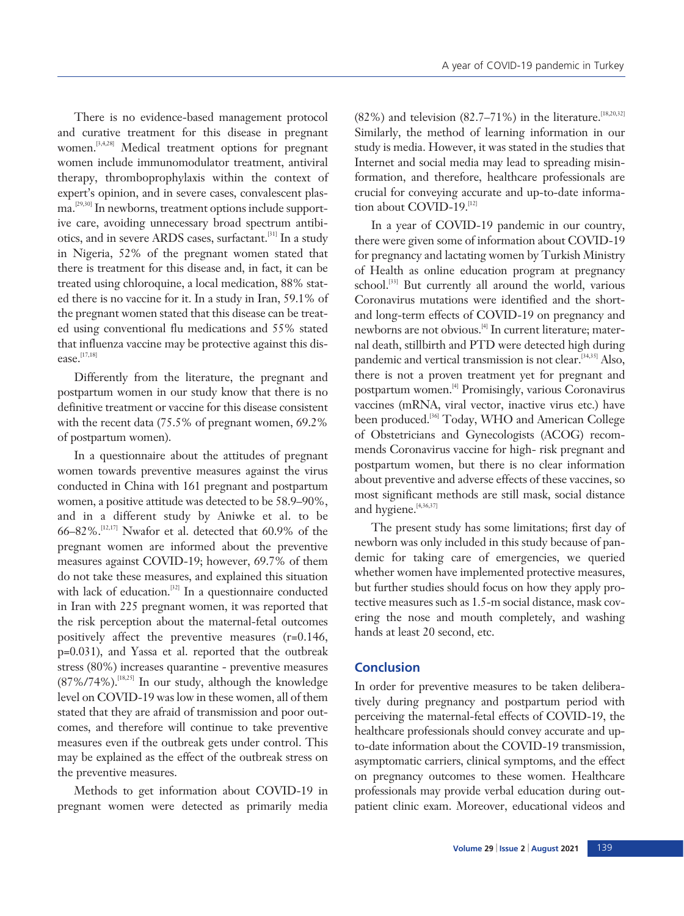There is no evidence-based management protocol and curative treatment for this disease in pregnant women.<sup>[3,4,28]</sup> Medical treatment options for pregnant women include immunomodulator treatment, antiviral therapy, thromboprophylaxis within the context of expert's opinion, and in severe cases, convalescent plasma.[29,30] In newborns, treatment options include supportive care, avoiding unnecessary broad spectrum antibiotics, and in severe ARDS cases, surfactant.[31] In a study in Nigeria, 52% of the pregnant women stated that there is treatment for this disease and, in fact, it can be treated using chloroquine, a local medication, 88% stated there is no vaccine for it. In a study in Iran, 59.1% of the pregnant women stated that this disease can be treated using conventional flu medications and 55% stated that influenza vaccine may be protective against this disease.[17,18]

Differently from the literature, the pregnant and postpartum women in our study know that there is no definitive treatment or vaccine for this disease consistent with the recent data (75.5% of pregnant women, 69.2% of postpartum women).

In a questionnaire about the attitudes of pregnant women towards preventive measures against the virus conducted in China with 161 pregnant and postpartum women, a positive attitude was detected to be 58.9–90%, and in a different study by Aniwke et al. to be 66–82%.<sup>[12,17]</sup> Nwafor et al. detected that 60.9% of the pregnant women are informed about the preventive measures against COVID-19; however, 69.7% of them do not take these measures, and explained this situation with lack of education.<sup>[32]</sup> In a questionnaire conducted in Iran with 225 pregnant women, it was reported that the risk perception about the maternal-fetal outcomes positively affect the preventive measures (r=0.146, p=0.031), and Yassa et al. reported that the outbreak stress (80%) increases quarantine - preventive measures  $(87\%/74\%)$ .<sup>[18,25]</sup> In our study, although the knowledge level on COVID-19 was low in these women, all of them stated that they are afraid of transmission and poor outcomes, and therefore will continue to take preventive measures even if the outbreak gets under control. This may be explained as the effect of the outbreak stress on the preventive measures.

Methods to get information about COVID-19 in pregnant women were detected as primarily media (82%) and television (82.7–71%) in the literature.<sup>[18,20,32]</sup> Similarly, the method of learning information in our study is media. However, it was stated in the studies that Internet and social media may lead to spreading misinformation, and therefore, healthcare professionals are crucial for conveying accurate and up-to-date information about COVID-19.<sup>[12]</sup>

In a year of COVID-19 pandemic in our country, there were given some of information about COVID-19 for pregnancy and lactating women by Turkish Ministry of Health as online education program at pregnancy school.<sup>[33]</sup> But currently all around the world, various Coronavirus mutations were identified and the shortand long-term effects of COVID-19 on pregnancy and newborns are not obvious.[4] In current literature; maternal death, stillbirth and PTD were detected high during pandemic and vertical transmission is not clear.<sup>[34,35]</sup> Also, there is not a proven treatment yet for pregnant and postpartum women.[4] Promisingly, various Coronavirus vaccines (mRNA, viral vector, inactive virus etc.) have been produced.<sup>[36]</sup> Today, WHO and American College of Obstetricians and Gynecologists (ACOG) recommends Coronavirus vaccine for high- risk pregnant and postpartum women, but there is no clear information about preventive and adverse effects of these vaccines, so most significant methods are still mask, social distance and hygiene.<sup>[4,36,37]</sup>

The present study has some limitations; first day of newborn was only included in this study because of pandemic for taking care of emergencies, we queried whether women have implemented protective measures, but further studies should focus on how they apply protective measures such as 1.5-m social distance, mask covering the nose and mouth completely, and washing hands at least 20 second, etc.

# **Conclusion**

In order for preventive measures to be taken deliberatively during pregnancy and postpartum period with perceiving the maternal-fetal effects of COVID-19, the healthcare professionals should convey accurate and upto-date information about the COVID-19 transmission, asymptomatic carriers, clinical symptoms, and the effect on pregnancy outcomes to these women. Healthcare professionals may provide verbal education during outpatient clinic exam. Moreover, educational videos and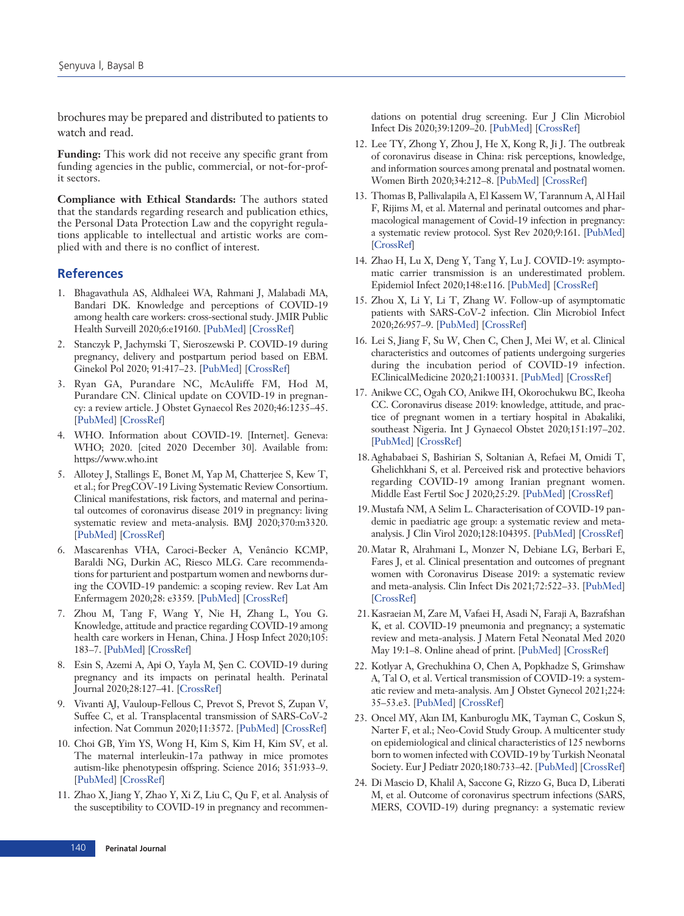brochures may be prepared and distributed to patients to watch and read.

**Funding:** This work did not receive any specific grant from funding agencies in the public, commercial, or not-for-profit sectors.

**Compliance with Ethical Standards:** The authors stated that the standards regarding research and publication ethics, the Personal Data Protection Law and the copyright regulations applicable to intellectual and artistic works are complied with and there is no conflict of interest.

## **References**

- 1. Bhagavathula AS, Aldhaleei WA, Rahmani J, Malabadi MA, Bandari DK. Knowledge and perceptions of COVID-19 among health care workers: cross-sectional study. JMIR Public Health Surveill 2020;6:e19160. [\[PubMed\]](http://www.ncbi.nlm.nih.gov/pubmed/32320381) [\[CrossRef\]](http://dx.doi.org/10.2196/19160)
- 2. Stanczyk P, Jachymski T, Sieroszewski P. COVID-19 during pregnancy, delivery and postpartum period based on EBM. Ginekol Pol 2020; 91:417–23. [[PubMed](http://www.ncbi.nlm.nih.gov/pubmed/32779163)] [[CrossRef](http://dx.doi.org/10.5603/GP.2020.0106)]
- 3. Ryan GA, Purandare NC, McAuliffe FM, Hod M, Purandare CN. Clinical update on COVID-19 in pregnancy: a review article. J Obstet Gynaecol Res 2020;46:1235–45. [[PubMed](http://www.ncbi.nlm.nih.gov/pubmed/32500549)] [[CrossRef](http://dx.doi.org/10.1111/jog.14321)]
- 4. WHO. Information about COVID-19. [Internet]. Geneva: WHO; 2020. [cited 2020 December 30]. Available from: https://www.who.int
- 5. Allotey J, Stallings E, Bonet M, Yap M, Chatterjee S, Kew T, et al.; for PregCOV-19 Living Systematic Review Consortium. Clinical manifestations, risk factors, and maternal and perinatal outcomes of coronavirus disease 2019 in pregnancy: living systematic review and meta-analysis. BMJ 2020;370:m3320. [[PubMed](http://www.ncbi.nlm.nih.gov/pubmed/32873575)] [[CrossRef](http://dx.doi.org/10.1136/bmj.m3320)]
- 6. Mascarenhas VHA, Caroci-Becker A, Venâncio KCMP, Baraldi NG, Durkin AC, Riesco MLG. Care recommendations for parturient and postpartum women and newborns during the COVID-19 pandemic: a scoping review. Rev Lat Am Enfermagem 2020;28: e3359. [\[PubMed](http://www.ncbi.nlm.nih.gov/pubmed/32785566)] [\[CrossRef](http://dx.doi.org/10.1590/1518-8345.4596.3359)]
- 7. Zhou M, Tang F, Wang Y, Nie H, Zhang L, You G. Knowledge, attitude and practice regarding COVID-19 among health care workers in Henan, China. J Hosp Infect 2020;105: 183–7. [\[PubMed\]](http://www.ncbi.nlm.nih.gov/pubmed/32278701) [[CrossRef\]](http://dx.doi.org/10.1016/j.jhin.2020.04.012)
- 8. Esin S, Azemi A, Api O, Yayla M, Sen C. COVID-19 during pregnancy and its impacts on perinatal health. Perinatal Journal 2020;28:127–41. [[CrossRef\]](http://dx.doi.org/10.2399/prn.20.0282012)
- 9. Vivanti AJ, Vauloup-Fellous C, Prevot S, Prevot S, Zupan V, Suffee C, et al. Transplacental transmission of SARS-CoV-2 infection. Nat Commun 2020;11:3572. [\[PubMed\]](http://www.ncbi.nlm.nih.gov/pubmed/32665677) [\[CrossRef](http://dx.doi.org/10.1038/s41467-020-17436-6)]
- 10. Choi GB, Yim YS, Wong H, Kim S, Kim H, Kim SV, et al. The maternal interleukin-17a pathway in mice promotes autism-like phenotypesin offspring. Science 2016; 351:933–9. [[PubMed](http://www.ncbi.nlm.nih.gov/pubmed/26822608)] [[CrossRef](http://dx.doi.org/10.1126/science.aad0314)]
- 11. Zhao X, Jiang Y, Zhao Y, Xi Z, Liu C, Qu F, et al. Analysis of the susceptibility to COVID-19 in pregnancy and recommen-

dations on potential drug screening. Eur J Clin Microbiol Infect Dis 2020;39:1209–20. [[PubMed\]](http://www.ncbi.nlm.nih.gov/pubmed/32328850) [[CrossRef\]](http://dx.doi.org/10.1007/s10096-020-03897-6)

- 12. Lee TY, Zhong Y, Zhou J, He X, Kong R, Ji J. The outbreak of coronavirus disease in China: risk perceptions, knowledge, and information sources among prenatal and postnatal women. Women Birth 2020;34:212–8. [[PubMed\]](http://www.ncbi.nlm.nih.gov/pubmed/32534906) [[CrossRef\]](http://dx.doi.org/10.1016/j.wombi.2020.05.010)
- 13. Thomas B, Pallivalapila A, El Kassem W, Tarannum A, Al Hail F, Rijims M, et al. Maternal and perinatal outcomes and pharmacological management of Covid-19 infection in pregnancy: a systematic review protocol. Syst Rev 2020;9:161. [\[PubMed](http://www.ncbi.nlm.nih.gov/pubmed/32682444)] [[CrossRef\]](http://dx.doi.org/10.1186/s13643-020-01418-2)
- 14. Zhao H, Lu X, Deng Y, Tang Y, Lu J. COVID-19: asymptomatic carrier transmission is an underestimated problem. Epidemiol Infect 2020;148:e116. [\[PubMed](http://www.ncbi.nlm.nih.gov/pubmed/32525469)] [\[CrossRef](http://dx.doi.org/10.1017/S0950268820001235)]
- 15. Zhou X, Li Y, Li T, Zhang W. Follow-up of asymptomatic patients with SARS-CoV-2 infection. Clin Microbiol Infect 2020;26:957–9. [\[PubMed](http://www.ncbi.nlm.nih.gov/pubmed/32234453)] [\[CrossRef](http://dx.doi.org/10.1016/j.cmi.2020.03.024)]
- 16. Lei S, Jiang F, Su W, Chen C, Chen J, Mei W, et al. Clinical characteristics and outcomes of patients undergoing surgeries during the incubation period of COVID-19 infection. EClinicalMedicine 2020;21:100331. [[PubMed\]](http://www.ncbi.nlm.nih.gov/pubmed/32292899) [\[CrossRef\]](http://dx.doi.org/10.1016/j.eclinm.2020.100331)
- 17. Anikwe CC, Ogah CO, Anikwe IH, Okorochukwu BC, Ikeoha CC. Coronavirus disease 2019: knowledge, attitude, and practice of pregnant women in a tertiary hospital in Abakaliki, southeast Nigeria. Int J Gynaecol Obstet 2020;151:197–202. [[PubMed\]](http://www.ncbi.nlm.nih.gov/pubmed/32608513) [[CrossRef\]](http://dx.doi.org/10.1002/ijgo.13293)
- 18. Aghababaei S, Bashirian S, Soltanian A, Refaei M, Omidi T, Ghelichkhani S, et al. Perceived risk and protective behaviors regarding COVID-19 among Iranian pregnant women. Middle East Fertil Soc J 2020;25:29. [\[PubMed](http://www.ncbi.nlm.nih.gov/pubmed/32963467)] [[CrossRef](http://dx.doi.org/10.1186/s43043-020-00038-z)]
- 19. Mustafa NM, A Selim L. Characterisation of COVID-19 pandemic in paediatric age group: a systematic review and metaanalysis. J Clin Virol 2020;128:104395. [\[PubMed](http://www.ncbi.nlm.nih.gov/pubmed/32417675)] [[CrossRef](http://dx.doi.org/10.1016/j.jcv.2020.104395)]
- 20. Matar R, Alrahmani L, Monzer N, Debiane LG, Berbari E, Fares J, et al. Clinical presentation and outcomes of pregnant women with Coronavirus Disease 2019: a systematic review and meta-analysis. Clin Infect Dis 2021;72:522–33. [\[PubMed\]](http://www.ncbi.nlm.nih.gov/pubmed/32575114) [[CrossRef\]](http://dx.doi.org/10.1093/cid/ciaa828)
- 21. Kasraeian M, Zare M, Vafaei H, Asadi N, Faraji A, Bazrafshan K, et al. COVID-19 pneumonia and pregnancy; a systematic review and meta-analysis. J Matern Fetal Neonatal Med 2020 May 19:1–8. Online ahead of print. [\[PubMed](http://www.ncbi.nlm.nih.gov/pubmed/32429786)] [\[CrossRef](http://dx.doi.org/10.1080/14767058.2020.1763952)]
- 22. Kotlyar A, Grechukhina O, Chen A, Popkhadze S, Grimshaw A, Tal O, et al. Vertical transmission of COVID-19: a systematic review and meta-analysis. Am J Obstet Gynecol 2021;224: 35–53.e3. [[PubMed\]](http://www.ncbi.nlm.nih.gov/pubmed/32739398) [\[CrossRef\]](http://dx.doi.org/10.1016/j.ajog.2020.07.049)
- 23. Oncel MY, Akın IM, Kanburoglu MK, Tayman C, Coskun S, Narter F, et al.; Neo-Covid Study Group. A multicenter study on epidemiological and clinical characteristics of 125 newborns born to women infected with COVID-19 by Turkish Neonatal Society. Eur J Pediatr 2020;180:733–42. [[PubMed\]](http://www.ncbi.nlm.nih.gov/pubmed/32776309) [[CrossRef](http://dx.doi.org/10.1007/s00431-020-03767-5)]
- 24. Di Mascio D, Khalil A, Saccone G, Rizzo G, Buca D, Liberati M, et al. Outcome of coronavirus spectrum infections (SARS, MERS, COVID-19) during pregnancy: a systematic review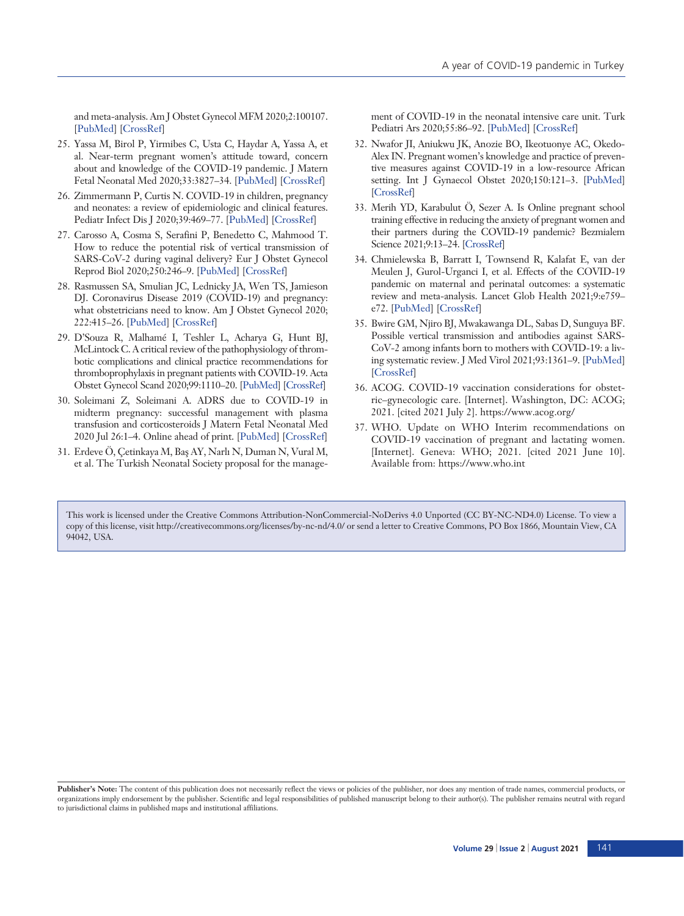and meta-analysis. Am J Obstet Gynecol MFM 2020;2:100107. [[PubMed](http://www.ncbi.nlm.nih.gov/pubmed/32292902)] [[CrossRef](http://dx.doi.org/10.1016/j.ajogmf.2020.100107)]

- 25. Yassa M, Birol P, Yirmibes C, Usta C, Haydar A, Yassa A, et al. Near-term pregnant women's attitude toward, concern about and knowledge of the COVID-19 pandemic. J Matern Fetal Neonatal Med 2020;33:3827–34. [[PubMed](http://www.ncbi.nlm.nih.gov/pubmed/32429780)] [[CrossRef\]](http://dx.doi.org/10.1080/14767058.2020.1763947)
- 26. Zimmermann P, Curtis N. COVID-19 in children, pregnancy and neonates: a review of epidemiologic and clinical features. Pediatr Infect Dis J 2020;39:469–77. [[PubMed\]](http://www.ncbi.nlm.nih.gov/pubmed/32398569) [[CrossRef\]](http://dx.doi.org/10.1097/INF.0000000000002700)
- 27. Carosso A, Cosma S, Serafini P, Benedetto C, Mahmood T. How to reduce the potential risk of vertical transmission of SARS-CoV-2 during vaginal delivery? Eur J Obstet Gynecol Reprod Biol 2020;250:246–9. [[PubMed\]](http://www.ncbi.nlm.nih.gov/pubmed/32418711) [[CrossRef\]](http://dx.doi.org/10.1016/j.ejogrb.2020.04.065)
- 28. Rasmussen SA, Smulian JC, Lednicky JA, Wen TS, Jamieson DJ. Coronavirus Disease 2019 (COVID-19) and pregnancy: what obstetricians need to know. Am J Obstet Gynecol 2020; 222:415–26. [[PubMed](http://www.ncbi.nlm.nih.gov/pubmed/32105680)] [[CrossRef](http://dx.doi.org/10.1016/j.ajog.2020.02.017)]
- 29. D'Souza R, Malhamé I, Teshler L, Acharya G, Hunt BJ, McLintock C. A critical review of the pathophysiology of thrombotic complications and clinical practice recommendations for thromboprophylaxis in pregnant patients with COVID-19. Acta Obstet Gynecol Scand 2020;99:1110–20. [\[PubMed](http://www.ncbi.nlm.nih.gov/pubmed/32678949)] [\[CrossRef\]](http://dx.doi.org/10.1111/aogs.13962)
- 30. Soleimani Z, Soleimani A. ADRS due to COVID-19 in midterm pregnancy: successful management with plasma transfusion and corticosteroids J Matern Fetal Neonatal Med 2020 Jul 26:1–4. Online ahead of print. [[PubMed](http://www.ncbi.nlm.nih.gov/pubmed/32715804)] [[CrossRef](http://dx.doi.org/10.1080/14767058.2020.1797669)]
- 31. Erdeve Ö, Çetinkaya M, Baş AY, Narlı N, Duman N, Vural M, et al. The Turkish Neonatal Society proposal for the manage-

ment of COVID-19 in the neonatal intensive care unit. Turk Pediatri Ars 2020;55:86–92. [[PubMed](http://www.ncbi.nlm.nih.gov/pubmed/32684752)] [[CrossRef](http://dx.doi.org/10.14744/TurkPediatriArs.2020.43788)]

- 32. Nwafor JI, Aniukwu JK, Anozie BO, Ikeotuonye AC, Okedo-Alex IN. Pregnant women's knowledge and practice of preventive measures against COVID-19 in a low-resource African setting. Int J Gynaecol Obstet 2020;150:121–3. [[PubMed](http://www.ncbi.nlm.nih.gov/pubmed/32342500)] [[CrossRef\]](http://dx.doi.org/10.1002/ijgo.13186)
- 33. Merih YD, Karabulut Ö, Sezer A. Is Online pregnant school training effective in reducing the anxiety of pregnant women and their partners during the COVID-19 pandemic? Bezmialem Science 2021;9:13–24. [\[CrossRef\]](http://dx.doi.org/10.14235/bas.galenos.2020.4718)
- 34. Chmielewska B, Barratt I, Townsend R, Kalafat E, van der Meulen J, Gurol-Urganci I, et al. Effects of the COVID-19 pandemic on maternal and perinatal outcomes: a systematic review and meta-analysis. Lancet Glob Health 2021;9:e759– e72. [[PubMed\]](http://www.ncbi.nlm.nih.gov/pubmed/33811827) [\[CrossRef\]](http://dx.doi.org/10.1016/S2214-109X(21)00079-6)
- 35. Bwire GM, Njiro BJ, Mwakawanga DL, Sabas D, Sunguya BF. Possible vertical transmission and antibodies against SARS-CoV-2 among infants born to mothers with COVID-19: a living systematic review. J Med Virol 2021;93:1361–9. [\[PubMed](http://www.ncbi.nlm.nih.gov/pubmed/33090535)] [[CrossRef\]](http://dx.doi.org/10.1002/jmv.26622)
- 36. ACOG. COVID-19 vaccination considerations for obstetric–gynecologic care. [Internet]. Washington, DC: ACOG; 2021. [cited 2021 July 2]. https://www.acog.org/
- 37. WHO. Update on WHO Interim recommendations on COVID-19 vaccination of pregnant and lactating women. [Internet]. Geneva: WHO; 2021. [cited 2021 June 10]. Available from: https://www.who.int

This work is licensed under the Creative Commons Attribution-NonCommercial-NoDerivs 4.0 Unported (CC BY-NC-ND4.0) License. To view a copy of this license, visit http://creativecommons.org/licenses/by-nc-nd/4.0/ or send a letter to Creative Commons, PO Box 1866, Mountain View, CA 94042, USA.

**Publisher's Note:** The content of this publication does not necessarily reflect the views or policies of the publisher, nor does any mention of trade names, commercial products, or organizations imply endorsement by the publisher. Scientific and legal responsibilities of published manuscript belong to their author(s). The publisher remains neutral with regard to jurisdictional claims in published maps and institutional affiliations.